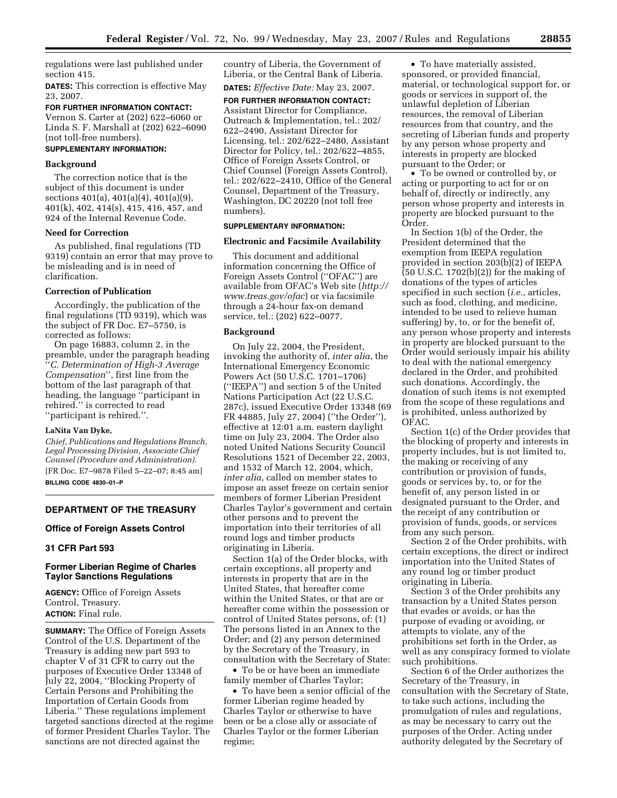regulations were last published under section 415.

**DATES:** This correction is effective May 23, 2007.

**FOR FURTHER INFORMATION CONTACT:**  Vernon S. Carter at (202) 622–6060 or Linda S. F. Marshall at (202) 622–6090 (not toll-free numbers).

# **SUPPLEMENTARY INFORMATION:**

# **Background**

The correction notice that is the subject of this document is under sections 401(a), 401(a)(4), 401(a)(9), 401(k), 402, 414(s), 415, 416, 457, and 924 of the Internal Revenue Code.

### **Need for Correction**

As published, final regulations (TD 9319) contain an error that may prove to be misleading and is in need of clarification.

# **Correction of Publication**

Accordingly, the publication of the final regulations (TD 9319), which was the subject of FR Doc. E7–5750, is corrected as follows:

On page 16883, column 2, in the preamble, under the paragraph heading ''*C. Determination of High-3 Average Compensation*'', first line from the bottom of the last paragraph of that heading, the language ''participant in rehired.'' is corrected to read ''participant is rehired.''.

# **LaNita Van Dyke,**

*Chief, Publications and Regulations Branch, Legal Processing Division, Associate Chief Counsel (Procedure and Administration).*  [FR Doc. E7–9878 Filed 5–22–07; 8:45 am] **BILLING CODE 4830–01–P** 

# **DEPARTMENT OF THE TREASURY**

# **Office of Foreign Assets Control**

# **31 CFR Part 593**

# **Former Liberian Regime of Charles Taylor Sanctions Regulations**

**AGENCY:** Office of Foreign Assets Control, Treasury. **ACTION:** Final rule.

**SUMMARY:** The Office of Foreign Assets Control of the U.S. Department of the Treasury is adding new part 593 to chapter V of 31 CFR to carry out the purposes of Executive Order 13348 of July 22, 2004, ''Blocking Property of Certain Persons and Prohibiting the Importation of Certain Goods from Liberia.'' These regulations implement targeted sanctions directed at the regime of former President Charles Taylor. The sanctions are not directed against the

country of Liberia, the Government of Liberia, or the Central Bank of Liberia.

**DATES:** *Effective Date:* May 23, 2007.

**FOR FURTHER INFORMATION CONTACT:**  Assistant Director for Compliance, Outreach & Implementation, tel.: 202/ 622–2490, Assistant Director for Licensing, tel.: 202/622–2480, Assistant Director for Policy, tel.: 202/622–4855, Office of Foreign Assets Control, or Chief Counsel (Foreign Assets Control), tel.: 202/622–2410, Office of the General Counsel, Department of the Treasury, Washington, DC 20220 (not toll free numbers).

# **SUPPLEMENTARY INFORMATION:**

### **Electronic and Facsimile Availability**

This document and additional information concerning the Office of Foreign Assets Control (''OFAC'') are available from OFAC's Web site (*http:// www.treas.gov/ofac*) or via facsimile through a 24-hour fax-on demand service, tel.: (202) 622–0077.

### **Background**

On July 22, 2004, the President, invoking the authority of, *inter alia*, the International Emergency Economic Powers Act (50 U.S.C. 1701–1706) (''IEEPA'') and section 5 of the United Nations Participation Act (22 U.S.C. 287c), issued Executive Order 13348 (69 FR 44885, July 27, 2004) (''the Order''), effective at 12:01 a.m. eastern daylight time on July 23, 2004. The Order also noted United Nations Security Council Resolutions 1521 of December 22, 2003, and 1532 of March 12, 2004, which, *inter alia*, called on member states to impose an asset freeze on certain senior members of former Liberian President Charles Taylor's government and certain other persons and to prevent the importation into their territories of all round logs and timber products originating in Liberia.

Section 1(a) of the Order blocks, with certain exceptions, all property and interests in property that are in the United States, that hereafter come within the United States, or that are or hereafter come within the possession or control of United States persons, of: (1) The persons listed in an Annex to the Order; and (2) any person determined by the Secretary of the Treasury, in consultation with the Secretary of State:

• To be or have been an immediate family member of Charles Taylor;

• To have been a senior official of the former Liberian regime headed by Charles Taylor or otherwise to have been or be a close ally or associate of Charles Taylor or the former Liberian regime;

• To have materially assisted, sponsored, or provided financial, material, or technological support for, or goods or services in support of, the unlawful depletion of Liberian resources, the removal of Liberian resources from that country, and the secreting of Liberian funds and property by any person whose property and interests in property are blocked pursuant to the Order; or

• To be owned or controlled by, or acting or purporting to act for or on behalf of, directly or indirectly, any person whose property and interests in property are blocked pursuant to the Order.

In Section 1(b) of the Order, the President determined that the exemption from IEEPA regulation provided in section 203(b)(2) of IEEPA (50 U.S.C. 1702(b)(2)) for the making of donations of the types of articles specified in such section (*i.e.*, articles, such as food, clothing, and medicine, intended to be used to relieve human suffering) by, to, or for the benefit of, any person whose property and interests in property are blocked pursuant to the Order would seriously impair his ability to deal with the national emergency declared in the Order, and prohibited such donations. Accordingly, the donation of such items is not exempted from the scope of these regulations and is prohibited, unless authorized by OFAC.

Section 1(c) of the Order provides that the blocking of property and interests in property includes, but is not limited to, the making or receiving of any contribution or provision of funds, goods or services by, to, or for the benefit of, any person listed in or designated pursuant to the Order, and the receipt of any contribution or provision of funds, goods, or services from any such person.

Section 2 of the Order prohibits, with certain exceptions, the direct or indirect importation into the United States of any round log or timber product originating in Liberia.

Section 3 of the Order prohibits any transaction by a United States person that evades or avoids, or has the purpose of evading or avoiding, or attempts to violate, any of the prohibitions set forth in the Order, as well as any conspiracy formed to violate such prohibitions.

Section 6 of the Order authorizes the Secretary of the Treasury, in consultation with the Secretary of State, to take such actions, including the promulgation of rules and regulations, as may be necessary to carry out the purposes of the Order. Acting under authority delegated by the Secretary of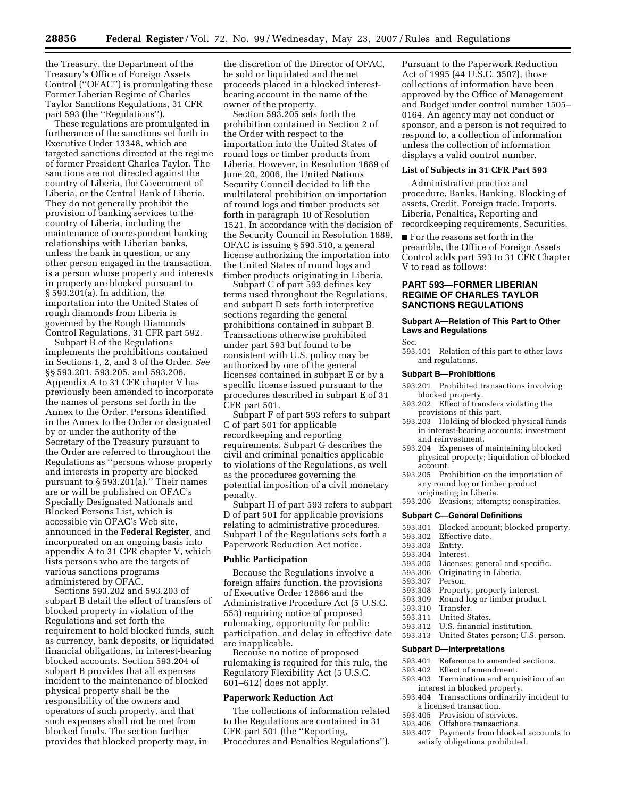the Treasury, the Department of the Treasury's Office of Foreign Assets Control (''OFAC'') is promulgating these Former Liberian Regime of Charles Taylor Sanctions Regulations, 31 CFR part 593 (the ''Regulations'').

These regulations are promulgated in furtherance of the sanctions set forth in Executive Order 13348, which are targeted sanctions directed at the regime of former President Charles Taylor. The sanctions are not directed against the country of Liberia, the Government of Liberia, or the Central Bank of Liberia. They do not generally prohibit the provision of banking services to the country of Liberia, including the maintenance of correspondent banking relationships with Liberian banks, unless the bank in question, or any other person engaged in the transaction, is a person whose property and interests in property are blocked pursuant to § 593.201(a). In addition, the importation into the United States of rough diamonds from Liberia is governed by the Rough Diamonds Control Regulations, 31 CFR part 592.

Subpart B of the Regulations implements the prohibitions contained in Sections 1, 2, and 3 of the Order. *See*  §§ 593.201, 593.205, and 593.206. Appendix A to 31 CFR chapter V has previously been amended to incorporate the names of persons set forth in the Annex to the Order. Persons identified in the Annex to the Order or designated by or under the authority of the Secretary of the Treasury pursuant to the Order are referred to throughout the Regulations as ''persons whose property and interests in property are blocked pursuant to § 593.201(a).'' Their names are or will be published on OFAC's Specially Designated Nationals and Blocked Persons List, which is accessible via OFAC's Web site, announced in the **Federal Register**, and incorporated on an ongoing basis into appendix A to 31 CFR chapter V, which lists persons who are the targets of various sanctions programs administered by OFAC.

Sections 593.202 and 593.203 of subpart B detail the effect of transfers of blocked property in violation of the Regulations and set forth the requirement to hold blocked funds, such as currency, bank deposits, or liquidated financial obligations, in interest-bearing blocked accounts. Section 593.204 of subpart B provides that all expenses incident to the maintenance of blocked physical property shall be the responsibility of the owners and operators of such property, and that such expenses shall not be met from blocked funds. The section further provides that blocked property may, in

the discretion of the Director of OFAC, be sold or liquidated and the net proceeds placed in a blocked interestbearing account in the name of the owner of the property.

Section 593.205 sets forth the prohibition contained in Section 2 of the Order with respect to the importation into the United States of round logs or timber products from Liberia. However, in Resolution 1689 of June 20, 2006, the United Nations Security Council decided to lift the multilateral prohibition on importation of round logs and timber products set forth in paragraph 10 of Resolution 1521. In accordance with the decision of the Security Council in Resolution 1689, OFAC is issuing § 593.510, a general license authorizing the importation into the United States of round logs and timber products originating in Liberia.

Subpart C of part 593 defines key terms used throughout the Regulations, and subpart D sets forth interpretive sections regarding the general prohibitions contained in subpart B. Transactions otherwise prohibited under part 593 but found to be consistent with U.S. policy may be authorized by one of the general licenses contained in subpart E or by a specific license issued pursuant to the procedures described in subpart E of 31 CFR part 501.

Subpart F of part 593 refers to subpart C of part 501 for applicable recordkeeping and reporting requirements. Subpart G describes the civil and criminal penalties applicable to violations of the Regulations, as well as the procedures governing the potential imposition of a civil monetary penalty.

Subpart H of part 593 refers to subpart D of part 501 for applicable provisions relating to administrative procedures. Subpart I of the Regulations sets forth a Paperwork Reduction Act notice.

#### **Public Participation**

Because the Regulations involve a foreign affairs function, the provisions of Executive Order 12866 and the Administrative Procedure Act (5 U.S.C. 553) requiring notice of proposed rulemaking, opportunity for public participation, and delay in effective date are inapplicable.

Because no notice of proposed rulemaking is required for this rule, the Regulatory Flexibility Act (5 U.S.C. 601–612) does not apply.

#### **Paperwork Reduction Act**

The collections of information related to the Regulations are contained in 31 CFR part 501 (the ''Reporting, Procedures and Penalties Regulations''). Pursuant to the Paperwork Reduction Act of 1995 (44 U.S.C. 3507), those collections of information have been approved by the Office of Management and Budget under control number 1505– 0164. An agency may not conduct or sponsor, and a person is not required to respond to, a collection of information unless the collection of information displays a valid control number.

### **List of Subjects in 31 CFR Part 593**

Administrative practice and procedure, Banks, Banking, Blocking of assets, Credit, Foreign trade, Imports, Liberia, Penalties, Reporting and recordkeeping requirements, Securities.

■ For the reasons set forth in the preamble, the Office of Foreign Assets Control adds part 593 to 31 CFR Chapter V to read as follows:

# **PART 593—FORMER LIBERIAN REGIME OF CHARLES TAYLOR SANCTIONS REGULATIONS**

# **Subpart A—Relation of This Part to Other Laws and Regulations**

Sec.

593.101 Relation of this part to other laws and regulations.

#### **Subpart B—Prohibitions**

- 593.201 Prohibited transactions involving blocked property.
- 593.202 Effect of transfers violating the provisions of this part.
- 593.203 Holding of blocked physical funds in interest-bearing accounts; investment and reinvestment.
- 593.204 Expenses of maintaining blocked physical property; liquidation of blocked account.
- 593.205 Prohibition on the importation of any round log or timber product originating in Liberia.
- 593.206 Evasions; attempts; conspiracies.

# **Subpart C—General Definitions**

- 593.301 Blocked account; blocked property.
	- Effective date.<br>Entity.
- 593.303
- 593.304 Interest.
- Licenses; general and specific.
- 593.306 Originating in Liberia.
- 593.307 Person.
- 593.308 Property; property interest.
- 593.309 Round log or timber product.
- 593.310 Transfer.
	- United States.
- 593.312 U.S. financial institution.
- 593.313 United States person; U.S. person.

# **Subpart D—Interpretations**

- 593.401 Reference to amended sections.<br>593.402 Effect of amendment.
- 593.402 Effect of amendment.<br>593.403 Termination and acq
- Termination and acquisition of an interest in blocked property.
- 593.404 Transactions ordinarily incident to
- a licensed transaction.<br>593.405 Provision of serv Provision of services.
- 593.406 Offshore transactions.
- 593.407 Payments from blocked accounts to satisfy obligations prohibited.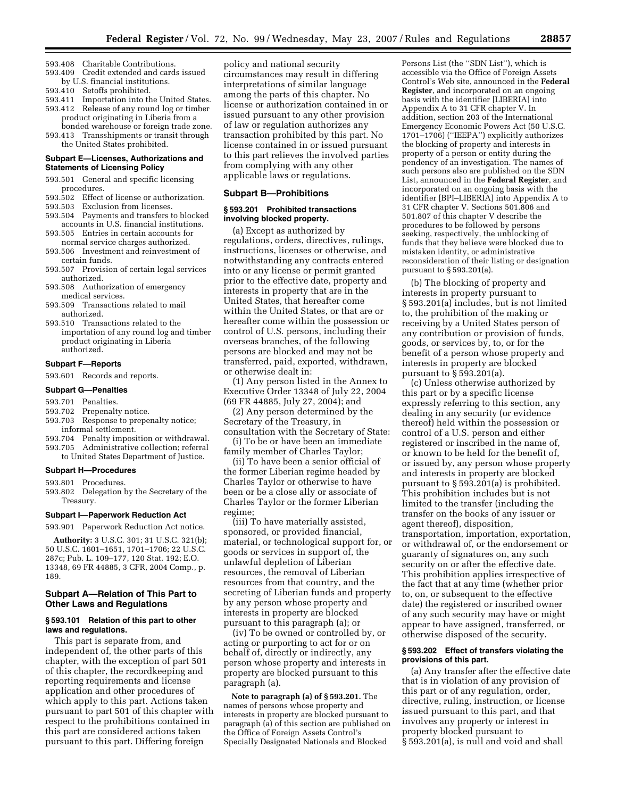- 593.408 Charitable Contributions.
- 593.409 Credit extended and cards issued by U.S. financial institutions.
- 593.410 Setoffs prohibited.
- 593.411 Importation into the United States. 593.412 Release of any round log or timber product originating in Liberia from a bonded warehouse or foreign trade zone.
- 593.413 Transshipments or transit through the United States prohibited.

### **Subpart E—Licenses, Authorizations and Statements of Licensing Policy**

- 593.501 General and specific licensing procedures.
- 593.502 Effect of license or authorization.
- 593.503 Exclusion from licenses.
- 593.504 Payments and transfers to blocked accounts in U.S. financial institutions.
- 593.505 Entries in certain accounts for normal service charges authorized.
- 593.506 Investment and reinvestment of certain funds.
- 593.507 Provision of certain legal services authorized.
- 593.508 Authorization of emergency medical services.
- 593.509 Transactions related to mail authorized.
- 593.510 Transactions related to the importation of any round log and timber product originating in Liberia authorized.

#### **Subpart F—Reports**

593.601 Records and reports.

#### **Subpart G—Penalties**

- 593.701 Penalties.
- 593.702 Prepenalty notice.
- 593.703 Response to prepenalty notice; informal settlement.
- 593.704 Penalty imposition or withdrawal.
- 593.705 Administrative collection; referral to United States Department of Justice.

## **Subpart H—Procedures**

- 593.801 Procedures.
- 593.802 Delegation by the Secretary of the Treasury.

### **Subpart I—Paperwork Reduction Act**

593.901 Paperwork Reduction Act notice.

**Authority:** 3 U.S.C. 301; 31 U.S.C. 321(b); 50 U.S.C. 1601–1651, 1701–1706; 22 U.S.C. 287c; Pub. L. 109–177, 120 Stat. 192; E.O. 13348, 69 FR 44885, 3 CFR, 2004 Comp., p. 189.

# **Subpart A—Relation of This Part to Other Laws and Regulations**

### **§ 593.101 Relation of this part to other laws and regulations.**

This part is separate from, and independent of, the other parts of this chapter, with the exception of part 501 of this chapter, the recordkeeping and reporting requirements and license application and other procedures of which apply to this part. Actions taken pursuant to part 501 of this chapter with respect to the prohibitions contained in this part are considered actions taken pursuant to this part. Differing foreign

policy and national security circumstances may result in differing interpretations of similar language among the parts of this chapter. No license or authorization contained in or issued pursuant to any other provision of law or regulation authorizes any transaction prohibited by this part. No license contained in or issued pursuant to this part relieves the involved parties from complying with any other applicable laws or regulations.

### **Subpart B—Prohibitions**

# **§ 593.201 Prohibited transactions involving blocked property.**

(a) Except as authorized by regulations, orders, directives, rulings, instructions, licenses or otherwise, and notwithstanding any contracts entered into or any license or permit granted prior to the effective date, property and interests in property that are in the United States, that hereafter come within the United States, or that are or hereafter come within the possession or control of U.S. persons, including their overseas branches, of the following persons are blocked and may not be transferred, paid, exported, withdrawn, or otherwise dealt in:

(1) Any person listed in the Annex to Executive Order 13348 of July 22, 2004 (69 FR 44885, July 27, 2004); and

(2) Any person determined by the Secretary of the Treasury, in consultation with the Secretary of State:

(i) To be or have been an immediate family member of Charles Taylor;

(ii) To have been a senior official of the former Liberian regime headed by Charles Taylor or otherwise to have been or be a close ally or associate of Charles Taylor or the former Liberian regime;

(iii) To have materially assisted, sponsored, or provided financial, material, or technological support for, or goods or services in support of, the unlawful depletion of Liberian resources, the removal of Liberian resources from that country, and the secreting of Liberian funds and property by any person whose property and interests in property are blocked pursuant to this paragraph (a); or

(iv) To be owned or controlled by, or acting or purporting to act for or on behalf of, directly or indirectly, any person whose property and interests in property are blocked pursuant to this paragraph (a).

**Note to paragraph (a) of § 593.201.** The names of persons whose property and interests in property are blocked pursuant to paragraph (a) of this section are published on the Office of Foreign Assets Control's Specially Designated Nationals and Blocked

Persons List (the ''SDN List''), which is accessible via the Office of Foreign Assets Control's Web site, announced in the **Federal Register**, and incorporated on an ongoing basis with the identifier [LIBERIA] into Appendix A to 31 CFR chapter V. In addition, section 203 of the International Emergency Economic Powers Act (50 U.S.C. 1701–1706) (''IEEPA'') explicitly authorizes the blocking of property and interests in property of a person or entity during the pendency of an investigation. The names of such persons also are published on the SDN List, announced in the **Federal Register**, and incorporated on an ongoing basis with the identifier [BPI–LIBERIA] into Appendix A to 31 CFR chapter V. Sections 501.806 and 501.807 of this chapter V describe the procedures to be followed by persons seeking, respectively, the unblocking of funds that they believe were blocked due to mistaken identity, or administrative reconsideration of their listing or designation pursuant to § 593.201(a).

(b) The blocking of property and interests in property pursuant to § 593.201(a) includes, but is not limited to, the prohibition of the making or receiving by a United States person of any contribution or provision of funds, goods, or services by, to, or for the benefit of a person whose property and interests in property are blocked pursuant to § 593.201(a).

(c) Unless otherwise authorized by this part or by a specific license expressly referring to this section, any dealing in any security (or evidence thereof) held within the possession or control of a U.S. person and either registered or inscribed in the name of, or known to be held for the benefit of, or issued by, any person whose property and interests in property are blocked pursuant to § 593.201(a) is prohibited. This prohibition includes but is not limited to the transfer (including the transfer on the books of any issuer or agent thereof), disposition, transportation, importation, exportation, or withdrawal of, or the endorsement or guaranty of signatures on, any such security on or after the effective date. This prohibition applies irrespective of the fact that at any time (whether prior to, on, or subsequent to the effective date) the registered or inscribed owner of any such security may have or might appear to have assigned, transferred, or otherwise disposed of the security.

#### **§ 593.202 Effect of transfers violating the provisions of this part.**

(a) Any transfer after the effective date that is in violation of any provision of this part or of any regulation, order, directive, ruling, instruction, or license issued pursuant to this part, and that involves any property or interest in property blocked pursuant to § 593.201(a), is null and void and shall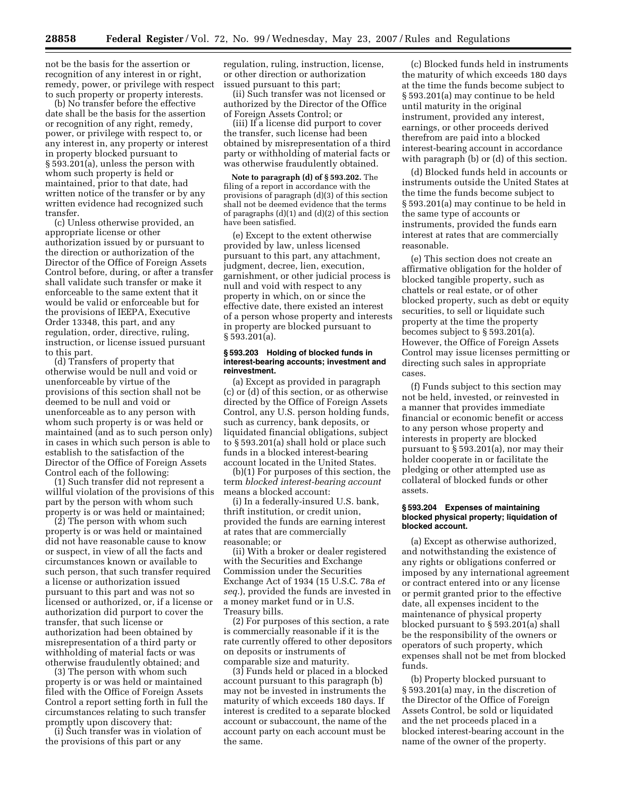not be the basis for the assertion or recognition of any interest in or right, remedy, power, or privilege with respect to such property or property interests.

(b) No transfer before the effective date shall be the basis for the assertion or recognition of any right, remedy, power, or privilege with respect to, or any interest in, any property or interest in property blocked pursuant to § 593.201(a), unless the person with whom such property is held or maintained, prior to that date, had written notice of the transfer or by any written evidence had recognized such transfer.

(c) Unless otherwise provided, an appropriate license or other authorization issued by or pursuant to the direction or authorization of the Director of the Office of Foreign Assets Control before, during, or after a transfer shall validate such transfer or make it enforceable to the same extent that it would be valid or enforceable but for the provisions of IEEPA, Executive Order 13348, this part, and any regulation, order, directive, ruling, instruction, or license issued pursuant to this part.

(d) Transfers of property that otherwise would be null and void or unenforceable by virtue of the provisions of this section shall not be deemed to be null and void or unenforceable as to any person with whom such property is or was held or maintained (and as to such person only) in cases in which such person is able to establish to the satisfaction of the Director of the Office of Foreign Assets Control each of the following:

(1) Such transfer did not represent a willful violation of the provisions of this part by the person with whom such property is or was held or maintained;

(2) The person with whom such property is or was held or maintained did not have reasonable cause to know or suspect, in view of all the facts and circumstances known or available to such person, that such transfer required a license or authorization issued pursuant to this part and was not so licensed or authorized, or, if a license or authorization did purport to cover the transfer, that such license or authorization had been obtained by misrepresentation of a third party or withholding of material facts or was otherwise fraudulently obtained; and

(3) The person with whom such property is or was held or maintained filed with the Office of Foreign Assets Control a report setting forth in full the circumstances relating to such transfer promptly upon discovery that:

(i) Such transfer was in violation of the provisions of this part or any

regulation, ruling, instruction, license, or other direction or authorization issued pursuant to this part;

(ii) Such transfer was not licensed or authorized by the Director of the Office of Foreign Assets Control; or

(iii) If a license did purport to cover the transfer, such license had been obtained by misrepresentation of a third party or withholding of material facts or was otherwise fraudulently obtained.

**Note to paragraph (d) of § 593.202.** The filing of a report in accordance with the provisions of paragraph (d)(3) of this section shall not be deemed evidence that the terms of paragraphs  $(d)(1)$  and  $(d)(2)$  of this section have been satisfied.

(e) Except to the extent otherwise provided by law, unless licensed pursuant to this part, any attachment, judgment, decree, lien, execution, garnishment, or other judicial process is null and void with respect to any property in which, on or since the effective date, there existed an interest of a person whose property and interests in property are blocked pursuant to § 593.201(a).

#### **§ 593.203 Holding of blocked funds in interest-bearing accounts; investment and reinvestment.**

(a) Except as provided in paragraph (c) or (d) of this section, or as otherwise directed by the Office of Foreign Assets Control, any U.S. person holding funds, such as currency, bank deposits, or liquidated financial obligations, subject to § 593.201(a) shall hold or place such funds in a blocked interest-bearing account located in the United States.

(b)(1) For purposes of this section, the term *blocked interest-bearing account*  means a blocked account:

(i) In a federally-insured U.S. bank, thrift institution, or credit union, provided the funds are earning interest at rates that are commercially reasonable; or

(ii) With a broker or dealer registered with the Securities and Exchange Commission under the Securities Exchange Act of 1934 (15 U.S.C. 78a *et seq.*), provided the funds are invested in a money market fund or in U.S. Treasury bills.

(2) For purposes of this section, a rate is commercially reasonable if it is the rate currently offered to other depositors on deposits or instruments of comparable size and maturity.

(3) Funds held or placed in a blocked account pursuant to this paragraph (b) may not be invested in instruments the maturity of which exceeds 180 days. If interest is credited to a separate blocked account or subaccount, the name of the account party on each account must be the same.

(c) Blocked funds held in instruments the maturity of which exceeds 180 days at the time the funds become subject to § 593.201(a) may continue to be held until maturity in the original instrument, provided any interest, earnings, or other proceeds derived therefrom are paid into a blocked interest-bearing account in accordance with paragraph (b) or (d) of this section.

(d) Blocked funds held in accounts or instruments outside the United States at the time the funds become subject to § 593.201(a) may continue to be held in the same type of accounts or instruments, provided the funds earn interest at rates that are commercially reasonable.

(e) This section does not create an affirmative obligation for the holder of blocked tangible property, such as chattels or real estate, or of other blocked property, such as debt or equity securities, to sell or liquidate such property at the time the property becomes subject to § 593.201(a). However, the Office of Foreign Assets Control may issue licenses permitting or directing such sales in appropriate cases.

(f) Funds subject to this section may not be held, invested, or reinvested in a manner that provides immediate financial or economic benefit or access to any person whose property and interests in property are blocked pursuant to § 593.201(a), nor may their holder cooperate in or facilitate the pledging or other attempted use as collateral of blocked funds or other assets.

### **§ 593.204 Expenses of maintaining blocked physical property; liquidation of blocked account.**

(a) Except as otherwise authorized, and notwithstanding the existence of any rights or obligations conferred or imposed by any international agreement or contract entered into or any license or permit granted prior to the effective date, all expenses incident to the maintenance of physical property blocked pursuant to § 593.201(a) shall be the responsibility of the owners or operators of such property, which expenses shall not be met from blocked funds.

(b) Property blocked pursuant to § 593.201(a) may, in the discretion of the Director of the Office of Foreign Assets Control, be sold or liquidated and the net proceeds placed in a blocked interest-bearing account in the name of the owner of the property.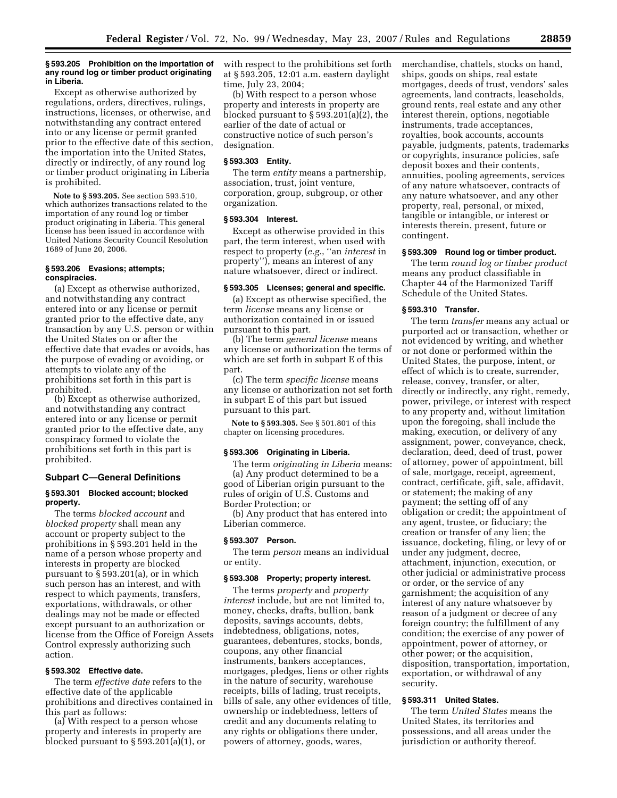### **§ 593.205 Prohibition on the importation of any round log or timber product originating in Liberia.**

Except as otherwise authorized by regulations, orders, directives, rulings, instructions, licenses, or otherwise, and notwithstanding any contract entered into or any license or permit granted prior to the effective date of this section, the importation into the United States, directly or indirectly, of any round log or timber product originating in Liberia is prohibited.

**Note to § 593.205.** See section 593.510, which authorizes transactions related to the importation of any round log or timber product originating in Liberia. This general license has been issued in accordance with United Nations Security Council Resolution 1689 of June 20, 2006.

### **§ 593.206 Evasions; attempts; conspiracies.**

(a) Except as otherwise authorized, and notwithstanding any contract entered into or any license or permit granted prior to the effective date, any transaction by any U.S. person or within the United States on or after the effective date that evades or avoids, has the purpose of evading or avoiding, or attempts to violate any of the prohibitions set forth in this part is prohibited.

(b) Except as otherwise authorized, and notwithstanding any contract entered into or any license or permit granted prior to the effective date, any conspiracy formed to violate the prohibitions set forth in this part is prohibited.

# **Subpart C—General Definitions**

#### **§ 593.301 Blocked account; blocked property.**

The terms *blocked account* and *blocked property* shall mean any account or property subject to the prohibitions in § 593.201 held in the name of a person whose property and interests in property are blocked pursuant to § 593.201(a), or in which such person has an interest, and with respect to which payments, transfers, exportations, withdrawals, or other dealings may not be made or effected except pursuant to an authorization or license from the Office of Foreign Assets Control expressly authorizing such action.

## **§ 593.302 Effective date.**

The term *effective date* refers to the effective date of the applicable prohibitions and directives contained in this part as follows:

(a) With respect to a person whose property and interests in property are blocked pursuant to § 593.201(a)(1), or with respect to the prohibitions set forth at § 593.205, 12:01 a.m. eastern daylight time, July 23, 2004;

(b) With respect to a person whose property and interests in property are blocked pursuant to  $\S 593.201(a)(2)$ , the earlier of the date of actual or constructive notice of such person's designation.

### **§ 593.303 Entity.**

The term *entity* means a partnership, association, trust, joint venture, corporation, group, subgroup, or other organization.

### **§ 593.304 Interest.**

Except as otherwise provided in this part, the term interest, when used with respect to property (*e.g.*, ''an *interest* in property''), means an interest of any nature whatsoever, direct or indirect.

### **§ 593.305 Licenses; general and specific.**

(a) Except as otherwise specified, the term *license* means any license or authorization contained in or issued pursuant to this part.

(b) The term *general license* means any license or authorization the terms of which are set forth in subpart E of this part.

(c) The term *specific license* means any license or authorization not set forth in subpart E of this part but issued pursuant to this part.

**Note to § 593.305.** See § 501.801 of this chapter on licensing procedures.

### **§ 593.306 Originating in Liberia.**

The term *originating in Liberia* means: (a) Any product determined to be a good of Liberian origin pursuant to the rules of origin of U.S. Customs and Border Protection; or

(b) Any product that has entered into Liberian commerce.

#### **§ 593.307 Person.**

The term *person* means an individual or entity.

#### **§ 593.308 Property; property interest.**

The terms *property* and *property interest* include, but are not limited to, money, checks, drafts, bullion, bank deposits, savings accounts, debts, indebtedness, obligations, notes, guarantees, debentures, stocks, bonds, coupons, any other financial instruments, bankers acceptances, mortgages, pledges, liens or other rights in the nature of security, warehouse receipts, bills of lading, trust receipts, bills of sale, any other evidences of title, ownership or indebtedness, letters of credit and any documents relating to any rights or obligations there under, powers of attorney, goods, wares,

merchandise, chattels, stocks on hand, ships, goods on ships, real estate mortgages, deeds of trust, vendors' sales agreements, land contracts, leaseholds, ground rents, real estate and any other interest therein, options, negotiable instruments, trade acceptances, royalties, book accounts, accounts payable, judgments, patents, trademarks or copyrights, insurance policies, safe deposit boxes and their contents, annuities, pooling agreements, services of any nature whatsoever, contracts of any nature whatsoever, and any other property, real, personal, or mixed, tangible or intangible, or interest or interests therein, present, future or contingent.

#### **§ 593.309 Round log or timber product.**

The term *round log or timber product*  means any product classifiable in Chapter 44 of the Harmonized Tariff Schedule of the United States.

#### **§ 593.310 Transfer.**

The term *transfer* means any actual or purported act or transaction, whether or not evidenced by writing, and whether or not done or performed within the United States, the purpose, intent, or effect of which is to create, surrender, release, convey, transfer, or alter, directly or indirectly, any right, remedy, power, privilege, or interest with respect to any property and, without limitation upon the foregoing, shall include the making, execution, or delivery of any assignment, power, conveyance, check, declaration, deed, deed of trust, power of attorney, power of appointment, bill of sale, mortgage, receipt, agreement, contract, certificate, gift, sale, affidavit, or statement; the making of any payment; the setting off of any obligation or credit; the appointment of any agent, trustee, or fiduciary; the creation or transfer of any lien; the issuance, docketing, filing, or levy of or under any judgment, decree, attachment, injunction, execution, or other judicial or administrative process or order, or the service of any garnishment; the acquisition of any interest of any nature whatsoever by reason of a judgment or decree of any foreign country; the fulfillment of any condition; the exercise of any power of appointment, power of attorney, or other power; or the acquisition, disposition, transportation, importation, exportation, or withdrawal of any security.

# **§ 593.311 United States.**

The term *United States* means the United States, its territories and possessions, and all areas under the jurisdiction or authority thereof.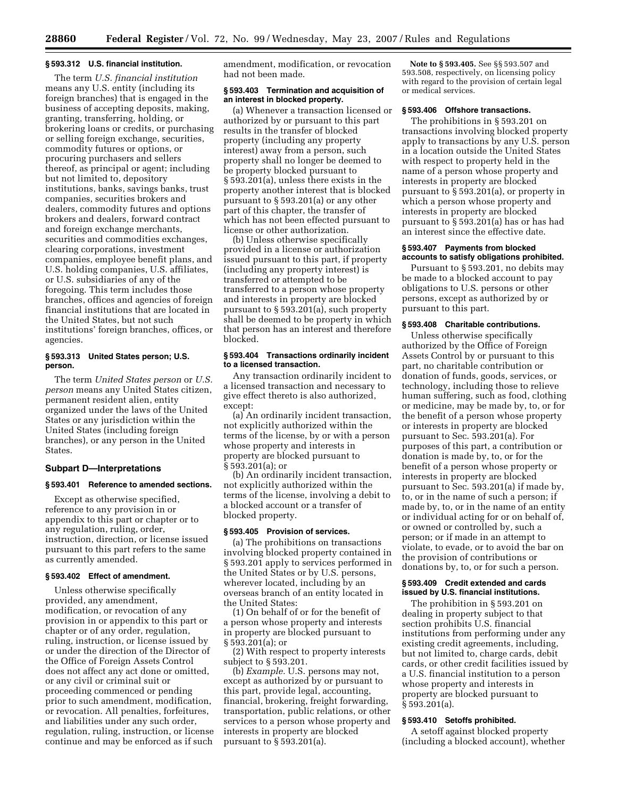# **§ 593.312 U.S. financial institution.**

The term *U.S. financial institution*  means any U.S. entity (including its foreign branches) that is engaged in the business of accepting deposits, making, granting, transferring, holding, or brokering loans or credits, or purchasing or selling foreign exchange, securities, commodity futures or options, or procuring purchasers and sellers thereof, as principal or agent; including but not limited to, depository institutions, banks, savings banks, trust companies, securities brokers and dealers, commodity futures and options brokers and dealers, forward contract and foreign exchange merchants, securities and commodities exchanges, clearing corporations, investment companies, employee benefit plans, and U.S. holding companies, U.S. affiliates, or U.S. subsidiaries of any of the foregoing. This term includes those branches, offices and agencies of foreign financial institutions that are located in the United States, but not such institutions' foreign branches, offices, or agencies.

# **§ 593.313 United States person; U.S. person.**

The term *United States person* or *U.S. person* means any United States citizen, permanent resident alien, entity organized under the laws of the United States or any jurisdiction within the United States (including foreign branches), or any person in the United States.

### **Subpart D—Interpretations**

## **§ 593.401 Reference to amended sections.**

Except as otherwise specified, reference to any provision in or appendix to this part or chapter or to any regulation, ruling, order, instruction, direction, or license issued pursuant to this part refers to the same as currently amended.

#### **§ 593.402 Effect of amendment.**

Unless otherwise specifically provided, any amendment, modification, or revocation of any provision in or appendix to this part or chapter or of any order, regulation, ruling, instruction, or license issued by or under the direction of the Director of the Office of Foreign Assets Control does not affect any act done or omitted, or any civil or criminal suit or proceeding commenced or pending prior to such amendment, modification, or revocation. All penalties, forfeitures, and liabilities under any such order, regulation, ruling, instruction, or license continue and may be enforced as if such

amendment, modification, or revocation had not been made.

### **§ 593.403 Termination and acquisition of an interest in blocked property.**

(a) Whenever a transaction licensed or authorized by or pursuant to this part results in the transfer of blocked property (including any property interest) away from a person, such property shall no longer be deemed to be property blocked pursuant to § 593.201(a), unless there exists in the property another interest that is blocked pursuant to § 593.201(a) or any other part of this chapter, the transfer of which has not been effected pursuant to license or other authorization.

(b) Unless otherwise specifically provided in a license or authorization issued pursuant to this part, if property (including any property interest) is transferred or attempted to be transferred to a person whose property and interests in property are blocked pursuant to § 593.201(a), such property shall be deemed to be property in which that person has an interest and therefore blocked.

## **§ 593.404 Transactions ordinarily incident to a licensed transaction.**

Any transaction ordinarily incident to a licensed transaction and necessary to give effect thereto is also authorized, except:

(a) An ordinarily incident transaction, not explicitly authorized within the terms of the license, by or with a person whose property and interests in property are blocked pursuant to § 593.201(a); or

(b) An ordinarily incident transaction, not explicitly authorized within the terms of the license, involving a debit to a blocked account or a transfer of blocked property.

### **§ 593.405 Provision of services.**

(a) The prohibitions on transactions involving blocked property contained in § 593.201 apply to services performed in the United States or by U.S. persons, wherever located, including by an overseas branch of an entity located in the United States:

(1) On behalf of or for the benefit of a person whose property and interests in property are blocked pursuant to § 593.201(a); or

(2) With respect to property interests subject to § 593.201.

(b) *Example.* U.S. persons may not, except as authorized by or pursuant to this part, provide legal, accounting, financial, brokering, freight forwarding, transportation, public relations, or other services to a person whose property and interests in property are blocked pursuant to § 593.201(a).

**Note to § 593.405.** See §§ 593.507 and 593.508, respectively, on licensing policy with regard to the provision of certain legal or medical services.

### **§ 593.406 Offshore transactions.**

The prohibitions in § 593.201 on transactions involving blocked property apply to transactions by any U.S. person in a location outside the United States with respect to property held in the name of a person whose property and interests in property are blocked pursuant to § 593.201(a), or property in which a person whose property and interests in property are blocked pursuant to § 593.201(a) has or has had an interest since the effective date.

### **§ 593.407 Payments from blocked accounts to satisfy obligations prohibited.**

Pursuant to § 593.201, no debits may be made to a blocked account to pay obligations to U.S. persons or other persons, except as authorized by or pursuant to this part.

### **§ 593.408 Charitable contributions.**

Unless otherwise specifically authorized by the Office of Foreign Assets Control by or pursuant to this part, no charitable contribution or donation of funds, goods, services, or technology, including those to relieve human suffering, such as food, clothing or medicine, may be made by, to, or for the benefit of a person whose property or interests in property are blocked pursuant to Sec. 593.201(a). For purposes of this part, a contribution or donation is made by, to, or for the benefit of a person whose property or interests in property are blocked pursuant to Sec. 593.201(a) if made by, to, or in the name of such a person; if made by, to, or in the name of an entity or individual acting for or on behalf of, or owned or controlled by, such a person; or if made in an attempt to violate, to evade, or to avoid the bar on the provision of contributions or donations by, to, or for such a person.

### **§ 593.409 Credit extended and cards issued by U.S. financial institutions.**

The prohibition in § 593.201 on dealing in property subject to that section prohibits U.S. financial institutions from performing under any existing credit agreements, including, but not limited to, charge cards, debit cards, or other credit facilities issued by a U.S. financial institution to a person whose property and interests in property are blocked pursuant to § 593.201(a).

## **§ 593.410 Setoffs prohibited.**

A setoff against blocked property (including a blocked account), whether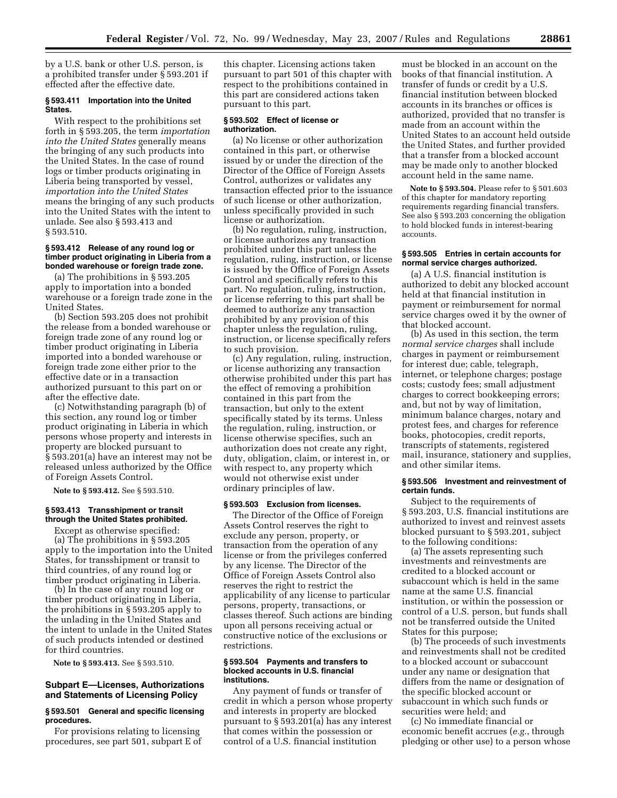by a U.S. bank or other U.S. person, is a prohibited transfer under § 593.201 if effected after the effective date.

### **§ 593.411 Importation into the United States.**

With respect to the prohibitions set forth in § 593.205, the term *importation into the United States* generally means the bringing of any such products into the United States. In the case of round logs or timber products originating in Liberia being transported by vessel, *importation into the United States*  means the bringing of any such products into the United States with the intent to unlade. See also § 593.413 and § 593.510.

### **§ 593.412 Release of any round log or timber product originating in Liberia from a bonded warehouse or foreign trade zone.**

(a) The prohibitions in § 593.205 apply to importation into a bonded warehouse or a foreign trade zone in the United States.

(b) Section 593.205 does not prohibit the release from a bonded warehouse or foreign trade zone of any round log or timber product originating in Liberia imported into a bonded warehouse or foreign trade zone either prior to the effective date or in a transaction authorized pursuant to this part on or after the effective date.

(c) Notwithstanding paragraph (b) of this section, any round log or timber product originating in Liberia in which persons whose property and interests in property are blocked pursuant to § 593.201(a) have an interest may not be released unless authorized by the Office of Foreign Assets Control.

**Note to § 593.412.** See § 593.510.

### **§ 593.413 Transshipment or transit through the United States prohibited.**

Except as otherwise specified:

(a) The prohibitions in § 593.205 apply to the importation into the United States, for transshipment or transit to third countries, of any round log or timber product originating in Liberia.

(b) In the case of any round log or timber product originating in Liberia, the prohibitions in § 593.205 apply to the unlading in the United States and the intent to unlade in the United States of such products intended or destined for third countries.

**Note to § 593.413.** See § 593.510.

# **Subpart E—Licenses, Authorizations and Statements of Licensing Policy**

# **§ 593.501 General and specific licensing procedures.**

For provisions relating to licensing procedures, see part 501, subpart E of this chapter. Licensing actions taken pursuant to part 501 of this chapter with respect to the prohibitions contained in this part are considered actions taken pursuant to this part.

# **§ 593.502 Effect of license or authorization.**

(a) No license or other authorization contained in this part, or otherwise issued by or under the direction of the Director of the Office of Foreign Assets Control, authorizes or validates any transaction effected prior to the issuance of such license or other authorization, unless specifically provided in such license or authorization.

(b) No regulation, ruling, instruction, or license authorizes any transaction prohibited under this part unless the regulation, ruling, instruction, or license is issued by the Office of Foreign Assets Control and specifically refers to this part. No regulation, ruling, instruction, or license referring to this part shall be deemed to authorize any transaction prohibited by any provision of this chapter unless the regulation, ruling, instruction, or license specifically refers to such provision.

(c) Any regulation, ruling, instruction, or license authorizing any transaction otherwise prohibited under this part has the effect of removing a prohibition contained in this part from the transaction, but only to the extent specifically stated by its terms. Unless the regulation, ruling, instruction, or license otherwise specifies, such an authorization does not create any right, duty, obligation, claim, or interest in, or with respect to, any property which would not otherwise exist under ordinary principles of law.

### **§ 593.503 Exclusion from licenses.**

The Director of the Office of Foreign Assets Control reserves the right to exclude any person, property, or transaction from the operation of any license or from the privileges conferred by any license. The Director of the Office of Foreign Assets Control also reserves the right to restrict the applicability of any license to particular persons, property, transactions, or classes thereof. Such actions are binding upon all persons receiving actual or constructive notice of the exclusions or restrictions.

### **§ 593.504 Payments and transfers to blocked accounts in U.S. financial institutions.**

Any payment of funds or transfer of credit in which a person whose property and interests in property are blocked pursuant to § 593.201(a) has any interest that comes within the possession or control of a U.S. financial institution

must be blocked in an account on the books of that financial institution. A transfer of funds or credit by a U.S. financial institution between blocked accounts in its branches or offices is authorized, provided that no transfer is made from an account within the United States to an account held outside the United States, and further provided that a transfer from a blocked account may be made only to another blocked account held in the same name.

**Note to § 593.504.** Please refer to § 501.603 of this chapter for mandatory reporting requirements regarding financial transfers. See also § 593.203 concerning the obligation to hold blocked funds in interest-bearing accounts.

### **§ 593.505 Entries in certain accounts for normal service charges authorized.**

(a) A U.S. financial institution is authorized to debit any blocked account held at that financial institution in payment or reimbursement for normal service charges owed it by the owner of that blocked account.

(b) As used in this section, the term *normal service charges* shall include charges in payment or reimbursement for interest due; cable, telegraph, internet, or telephone charges; postage costs; custody fees; small adjustment charges to correct bookkeeping errors; and, but not by way of limitation, minimum balance charges, notary and protest fees, and charges for reference books, photocopies, credit reports, transcripts of statements, registered mail, insurance, stationery and supplies, and other similar items.

### **§ 593.506 Investment and reinvestment of certain funds.**

Subject to the requirements of § 593.203, U.S. financial institutions are authorized to invest and reinvest assets blocked pursuant to § 593.201, subject to the following conditions:

(a) The assets representing such investments and reinvestments are credited to a blocked account or subaccount which is held in the same name at the same U.S. financial institution, or within the possession or control of a U.S. person, but funds shall not be transferred outside the United States for this purpose;

(b) The proceeds of such investments and reinvestments shall not be credited to a blocked account or subaccount under any name or designation that differs from the name or designation of the specific blocked account or subaccount in which such funds or securities were held; and

(c) No immediate financial or economic benefit accrues (*e.g.*, through pledging or other use) to a person whose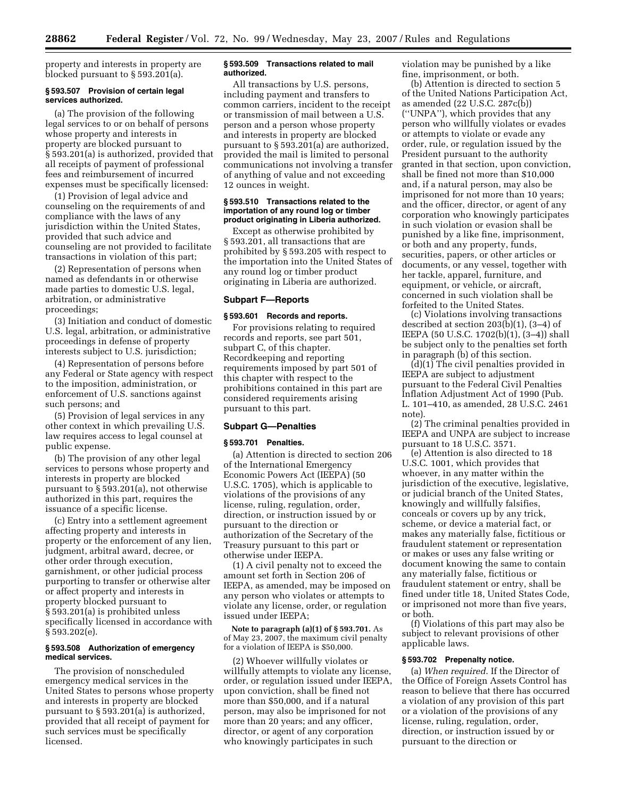property and interests in property are blocked pursuant to § 593.201(a).

### **§ 593.507 Provision of certain legal services authorized.**

(a) The provision of the following legal services to or on behalf of persons whose property and interests in property are blocked pursuant to § 593.201(a) is authorized, provided that all receipts of payment of professional fees and reimbursement of incurred expenses must be specifically licensed:

(1) Provision of legal advice and counseling on the requirements of and compliance with the laws of any jurisdiction within the United States, provided that such advice and counseling are not provided to facilitate transactions in violation of this part;

(2) Representation of persons when named as defendants in or otherwise made parties to domestic U.S. legal, arbitration, or administrative proceedings;

(3) Initiation and conduct of domestic U.S. legal, arbitration, or administrative proceedings in defense of property interests subject to U.S. jurisdiction;

(4) Representation of persons before any Federal or State agency with respect to the imposition, administration, or enforcement of U.S. sanctions against such persons; and

(5) Provision of legal services in any other context in which prevailing U.S. law requires access to legal counsel at public expense.

(b) The provision of any other legal services to persons whose property and interests in property are blocked pursuant to § 593.201(a), not otherwise authorized in this part, requires the issuance of a specific license.

(c) Entry into a settlement agreement affecting property and interests in property or the enforcement of any lien, judgment, arbitral award, decree, or other order through execution, garnishment, or other judicial process purporting to transfer or otherwise alter or affect property and interests in property blocked pursuant to § 593.201(a) is prohibited unless specifically licensed in accordance with § 593.202(e).

### **§ 593.508 Authorization of emergency medical services.**

The provision of nonscheduled emergency medical services in the United States to persons whose property and interests in property are blocked pursuant to § 593.201(a) is authorized, provided that all receipt of payment for such services must be specifically licensed.

# **§ 593.509 Transactions related to mail authorized.**

All transactions by U.S. persons, including payment and transfers to common carriers, incident to the receipt or transmission of mail between a U.S. person and a person whose property and interests in property are blocked pursuant to § 593.201(a) are authorized, provided the mail is limited to personal communications not involving a transfer of anything of value and not exceeding 12 ounces in weight.

#### **§ 593.510 Transactions related to the importation of any round log or timber product originating in Liberia authorized.**

Except as otherwise prohibited by § 593.201, all transactions that are prohibited by § 593.205 with respect to the importation into the United States of any round log or timber product originating in Liberia are authorized.

### **Subpart F—Reports**

## **§ 593.601 Records and reports.**

For provisions relating to required records and reports, see part 501, subpart C, of this chapter. Recordkeeping and reporting requirements imposed by part 501 of this chapter with respect to the prohibitions contained in this part are considered requirements arising pursuant to this part.

### **Subpart G—Penalties**

#### **§ 593.701 Penalties.**

(a) Attention is directed to section 206 of the International Emergency Economic Powers Act (IEEPA) (50 U.S.C. 1705), which is applicable to violations of the provisions of any license, ruling, regulation, order, direction, or instruction issued by or pursuant to the direction or authorization of the Secretary of the Treasury pursuant to this part or otherwise under IEEPA.

(1) A civil penalty not to exceed the amount set forth in Section 206 of IEEPA, as amended, may be imposed on any person who violates or attempts to violate any license, order, or regulation issued under IEEPA;

**Note to paragraph (a)(1) of § 593.701.** As of May 23, 2007, the maximum civil penalty for a violation of IEEPA is \$50,000.

(2) Whoever willfully violates or willfully attempts to violate any license, order, or regulation issued under IEEPA, upon conviction, shall be fined not more than \$50,000, and if a natural person, may also be imprisoned for not more than 20 years; and any officer, director, or agent of any corporation who knowingly participates in such

violation may be punished by a like fine, imprisonment, or both.

(b) Attention is directed to section 5 of the United Nations Participation Act, as amended (22 U.S.C. 287c(b)) (''UNPA''), which provides that any person who willfully violates or evades or attempts to violate or evade any order, rule, or regulation issued by the President pursuant to the authority granted in that section, upon conviction, shall be fined not more than \$10,000 and, if a natural person, may also be imprisoned for not more than 10 years; and the officer, director, or agent of any corporation who knowingly participates in such violation or evasion shall be punished by a like fine, imprisonment, or both and any property, funds, securities, papers, or other articles or documents, or any vessel, together with her tackle, apparel, furniture, and equipment, or vehicle, or aircraft, concerned in such violation shall be forfeited to the United States.

(c) Violations involving transactions described at section 203(b)(1), (3–4) of IEEPA (50 U.S.C. 1702(b)(1), (3–4)) shall be subject only to the penalties set forth in paragraph (b) of this section.

(d)(1) The civil penalties provided in IEEPA are subject to adjustment pursuant to the Federal Civil Penalties Inflation Adjustment Act of 1990 (Pub. L. 101–410, as amended, 28 U.S.C. 2461 note).

(2) The criminal penalties provided in IEEPA and UNPA are subject to increase pursuant to 18 U.S.C. 3571.

(e) Attention is also directed to 18 U.S.C. 1001, which provides that whoever, in any matter within the jurisdiction of the executive, legislative, or judicial branch of the United States, knowingly and willfully falsifies, conceals or covers up by any trick, scheme, or device a material fact, or makes any materially false, fictitious or fraudulent statement or representation or makes or uses any false writing or document knowing the same to contain any materially false, fictitious or fraudulent statement or entry, shall be fined under title 18, United States Code, or imprisoned not more than five years, or both.

(f) Violations of this part may also be subject to relevant provisions of other applicable laws.

## **§ 593.702 Prepenalty notice.**

(a) *When required*. If the Director of the Office of Foreign Assets Control has reason to believe that there has occurred a violation of any provision of this part or a violation of the provisions of any license, ruling, regulation, order, direction, or instruction issued by or pursuant to the direction or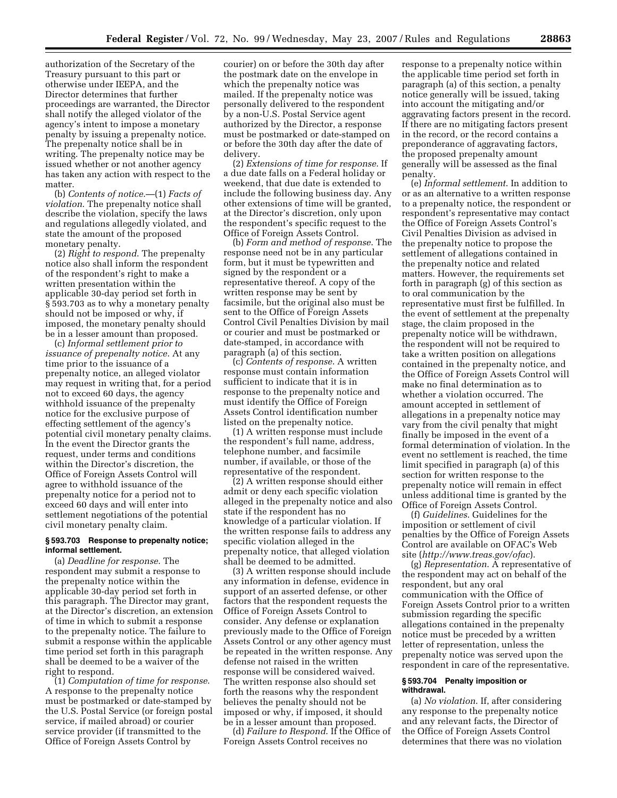authorization of the Secretary of the Treasury pursuant to this part or otherwise under IEEPA, and the Director determines that further proceedings are warranted, the Director shall notify the alleged violator of the agency's intent to impose a monetary penalty by issuing a prepenalty notice. The prepenalty notice shall be in writing. The prepenalty notice may be issued whether or not another agency has taken any action with respect to the matter.

(b) *Contents of notice*.—(1) *Facts of violation*. The prepenalty notice shall describe the violation, specify the laws and regulations allegedly violated, and state the amount of the proposed monetary penalty.

(2) *Right to respond*. The prepenalty notice also shall inform the respondent of the respondent's right to make a written presentation within the applicable 30-day period set forth in § 593.703 as to why a monetary penalty should not be imposed or why, if imposed, the monetary penalty should be in a lesser amount than proposed.

(c) *Informal settlement prior to issuance of prepenalty notice*. At any time prior to the issuance of a prepenalty notice, an alleged violator may request in writing that, for a period not to exceed 60 days, the agency withhold issuance of the prepenalty notice for the exclusive purpose of effecting settlement of the agency's potential civil monetary penalty claims. In the event the Director grants the request, under terms and conditions within the Director's discretion, the Office of Foreign Assets Control will agree to withhold issuance of the prepenalty notice for a period not to exceed 60 days and will enter into settlement negotiations of the potential civil monetary penalty claim.

# **§ 593.703 Response to prepenalty notice; informal settlement.**

(a) *Deadline for response*. The respondent may submit a response to the prepenalty notice within the applicable 30-day period set forth in this paragraph. The Director may grant, at the Director's discretion, an extension of time in which to submit a response to the prepenalty notice. The failure to submit a response within the applicable time period set forth in this paragraph shall be deemed to be a waiver of the right to respond.

(1) *Computation of time for response*. A response to the prepenalty notice must be postmarked or date-stamped by the U.S. Postal Service (or foreign postal service, if mailed abroad) or courier service provider (if transmitted to the Office of Foreign Assets Control by

courier) on or before the 30th day after the postmark date on the envelope in which the prepenalty notice was mailed. If the prepenalty notice was personally delivered to the respondent by a non-U.S. Postal Service agent authorized by the Director, a response must be postmarked or date-stamped on or before the 30th day after the date of delivery.

(2) *Extensions of time for response*. If a due date falls on a Federal holiday or weekend, that due date is extended to include the following business day. Any other extensions of time will be granted, at the Director's discretion, only upon the respondent's specific request to the Office of Foreign Assets Control.

(b) *Form and method of response*. The response need not be in any particular form, but it must be typewritten and signed by the respondent or a representative thereof. A copy of the written response may be sent by facsimile, but the original also must be sent to the Office of Foreign Assets Control Civil Penalties Division by mail or courier and must be postmarked or date-stamped, in accordance with paragraph (a) of this section.

(c) *Contents of response*. A written response must contain information sufficient to indicate that it is in response to the prepenalty notice and must identify the Office of Foreign Assets Control identification number listed on the prepenalty notice.

(1) A written response must include the respondent's full name, address, telephone number, and facsimile number, if available, or those of the representative of the respondent.

(2) A written response should either admit or deny each specific violation alleged in the prepenalty notice and also state if the respondent has no knowledge of a particular violation. If the written response fails to address any specific violation alleged in the prepenalty notice, that alleged violation shall be deemed to be admitted.

(3) A written response should include any information in defense, evidence in support of an asserted defense, or other factors that the respondent requests the Office of Foreign Assets Control to consider. Any defense or explanation previously made to the Office of Foreign Assets Control or any other agency must be repeated in the written response. Any defense not raised in the written response will be considered waived. The written response also should set forth the reasons why the respondent believes the penalty should not be imposed or why, if imposed, it should be in a lesser amount than proposed.

(d) *Failure to Respond*. If the Office of Foreign Assets Control receives no

response to a prepenalty notice within the applicable time period set forth in paragraph (a) of this section, a penalty notice generally will be issued, taking into account the mitigating and/or aggravating factors present in the record. If there are no mitigating factors present in the record, or the record contains a preponderance of aggravating factors, the proposed prepenalty amount generally will be assessed as the final penalty.

(e) *Informal settlement*. In addition to or as an alternative to a written response to a prepenalty notice, the respondent or respondent's representative may contact the Office of Foreign Assets Control's Civil Penalties Division as advised in the prepenalty notice to propose the settlement of allegations contained in the prepenalty notice and related matters. However, the requirements set forth in paragraph (g) of this section as to oral communication by the representative must first be fulfilled. In the event of settlement at the prepenalty stage, the claim proposed in the prepenalty notice will be withdrawn, the respondent will not be required to take a written position on allegations contained in the prepenalty notice, and the Office of Foreign Assets Control will make no final determination as to whether a violation occurred. The amount accepted in settlement of allegations in a prepenalty notice may vary from the civil penalty that might finally be imposed in the event of a formal determination of violation. In the event no settlement is reached, the time limit specified in paragraph (a) of this section for written response to the prepenalty notice will remain in effect unless additional time is granted by the Office of Foreign Assets Control.

(f) *Guidelines*. Guidelines for the imposition or settlement of civil penalties by the Office of Foreign Assets Control are available on OFAC's Web site (*http://www.treas.gov/ofac*).

(g) *Representation*. A representative of the respondent may act on behalf of the respondent, but any oral communication with the Office of Foreign Assets Control prior to a written submission regarding the specific allegations contained in the prepenalty notice must be preceded by a written letter of representation, unless the prepenalty notice was served upon the respondent in care of the representative.

### **§ 593.704 Penalty imposition or withdrawal.**

(a) *No violation*. If, after considering any response to the prepenalty notice and any relevant facts, the Director of the Office of Foreign Assets Control determines that there was no violation